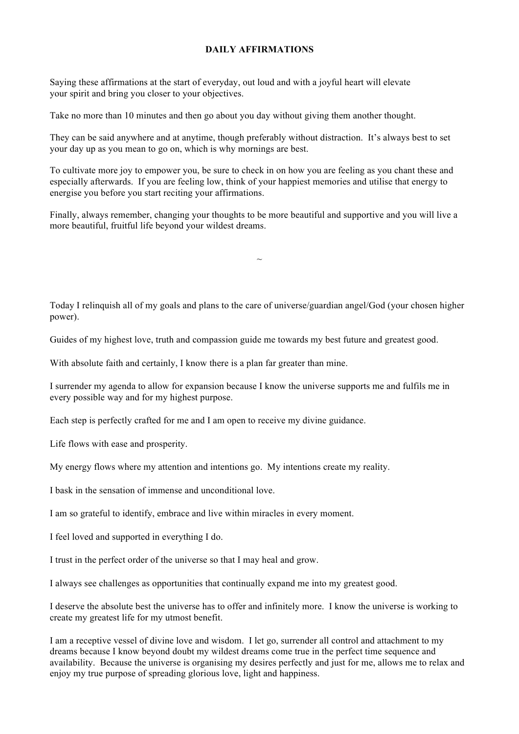## **DAILY AFFIRMATIONS**

Saying these affirmations at the start of everyday, out loud and with a joyful heart will elevate your spirit and bring you closer to your objectives.

Take no more than 10 minutes and then go about you day without giving them another thought.

They can be said anywhere and at anytime, though preferably without distraction. It's always best to set your day up as you mean to go on, which is why mornings are best.

To cultivate more joy to empower you, be sure to check in on how you are feeling as you chant these and especially afterwards. If you are feeling low, think of your happiest memories and utilise that energy to energise you before you start reciting your affirmations.

Finally, always remember, changing your thoughts to be more beautiful and supportive and you will live a more beautiful, fruitful life beyond your wildest dreams.

Today I relinquish all of my goals and plans to the care of universe/guardian angel/God (your chosen higher power).

 $\sim$ 

Guides of my highest love, truth and compassion guide me towards my best future and greatest good.

With absolute faith and certainly, I know there is a plan far greater than mine.

I surrender my agenda to allow for expansion because I know the universe supports me and fulfils me in every possible way and for my highest purpose.

Each step is perfectly crafted for me and I am open to receive my divine guidance.

Life flows with ease and prosperity.

My energy flows where my attention and intentions go. My intentions create my reality.

I bask in the sensation of immense and unconditional love.

I am so grateful to identify, embrace and live within miracles in every moment.

I feel loved and supported in everything I do.

I trust in the perfect order of the universe so that I may heal and grow.

I always see challenges as opportunities that continually expand me into my greatest good.

I deserve the absolute best the universe has to offer and infinitely more. I know the universe is working to create my greatest life for my utmost benefit.

I am a receptive vessel of divine love and wisdom. I let go, surrender all control and attachment to my dreams because I know beyond doubt my wildest dreams come true in the perfect time sequence and availability. Because the universe is organising my desires perfectly and just for me, allows me to relax and enjoy my true purpose of spreading glorious love, light and happiness.